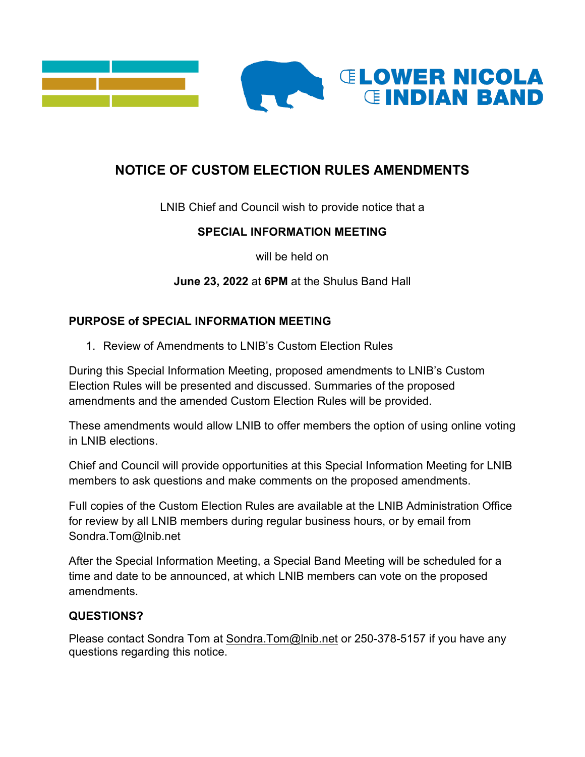

# **NOTICE OF CUSTOM ELECTION RULES AMENDMENTS**

LNIB Chief and Council wish to provide notice that a

# **SPECIAL INFORMATION MEETING**

will be held on

**June 23, 2022** at **6PM** at the Shulus Band Hall

# **PURPOSE of SPECIAL INFORMATION MEETING**

1. Review of Amendments to LNIB's Custom Election Rules

During this Special Information Meeting, proposed amendments to LNIB's Custom Election Rules will be presented and discussed. Summaries of the proposed amendments and the amended Custom Election Rules will be provided.

These amendments would allow LNIB to offer members the option of using online voting in LNIB elections.

Chief and Council will provide opportunities at this Special Information Meeting for LNIB members to ask questions and make comments on the proposed amendments.

Full copies of the Custom Election Rules are available at the LNIB Administration Office for review by all LNIB members during regular business hours, or by email from Sondra.Tom@lnib.net

After the Special Information Meeting, a Special Band Meeting will be scheduled for a time and date to be announced, at which LNIB members can vote on the proposed amendments.

## **QUESTIONS?**

Please contact Sondra Tom at [Sondra.Tom@lnib.net](mailto:Sondra.Tom@lnib.net) or 250-378-5157 if you have any questions regarding this notice.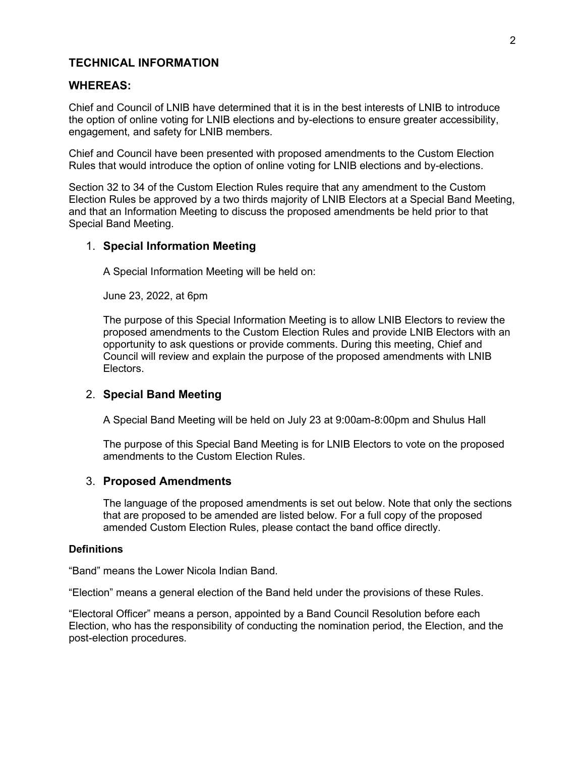### **TECHNICAL INFORMATION**

#### **WHEREAS:**

Chief and Council of LNIB have determined that it is in the best interests of LNIB to introduce the option of online voting for LNIB elections and by-elections to ensure greater accessibility, engagement, and safety for LNIB members.

Chief and Council have been presented with proposed amendments to the Custom Election Rules that would introduce the option of online voting for LNIB elections and by-elections.

Section 32 to 34 of the Custom Election Rules require that any amendment to the Custom Election Rules be approved by a two thirds majority of LNIB Electors at a Special Band Meeting, and that an Information Meeting to discuss the proposed amendments be held prior to that Special Band Meeting.

#### 1. **Special Information Meeting**

A Special Information Meeting will be held on:

June 23, 2022, at 6pm

The purpose of this Special Information Meeting is to allow LNIB Electors to review the proposed amendments to the Custom Election Rules and provide LNIB Electors with an opportunity to ask questions or provide comments. During this meeting, Chief and Council will review and explain the purpose of the proposed amendments with LNIB Electors.

#### 2. **Special Band Meeting**

A Special Band Meeting will be held on July 23 at 9:00am-8:00pm and Shulus Hall

The purpose of this Special Band Meeting is for LNIB Electors to vote on the proposed amendments to the Custom Election Rules.

#### 3. **Proposed Amendments**

The language of the proposed amendments is set out below. Note that only the sections that are proposed to be amended are listed below. For a full copy of the proposed amended Custom Election Rules, please contact the band office directly.

#### **Definitions**

"Band" means the Lower Nicola Indian Band.

"Election" means a general election of the Band held under the provisions of these Rules.

"Electoral Officer" means a person, appointed by a Band Council Resolution before each Election, who has the responsibility of conducting the nomination period, the Election, and the post-election procedures.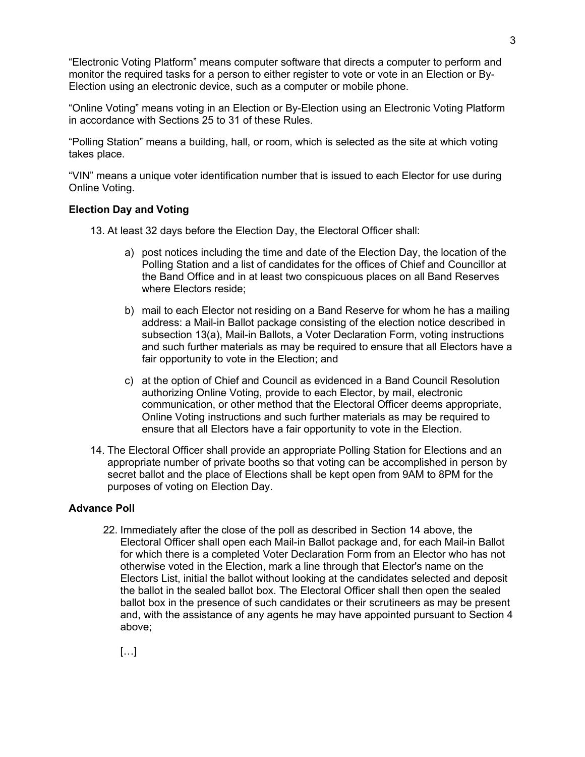"Electronic Voting Platform" means computer software that directs a computer to perform and monitor the required tasks for a person to either register to vote or vote in an Election or By-Election using an electronic device, such as a computer or mobile phone.

"Online Voting" means voting in an Election or By-Election using an Electronic Voting Platform in accordance with Sections 25 to 31 of these Rules.

"Polling Station" means a building, hall, or room, which is selected as the site at which voting takes place.

"VIN" means a unique voter identification number that is issued to each Elector for use during Online Voting.

#### **Election Day and Voting**

- 13. At least 32 days before the Election Day, the Electoral Officer shall:
	- a) post notices including the time and date of the Election Day, the location of the Polling Station and a list of candidates for the offices of Chief and Councillor at the Band Office and in at least two conspicuous places on all Band Reserves where Electors reside;
	- b) mail to each Elector not residing on a Band Reserve for whom he has a mailing address: a Mail-in Ballot package consisting of the election notice described in subsection 13(a), Mail-in Ballots, a Voter Declaration Form, voting instructions and such further materials as may be required to ensure that all Electors have a fair opportunity to vote in the Election; and
	- c) at the option of Chief and Council as evidenced in a Band Council Resolution authorizing Online Voting, provide to each Elector, by mail, electronic communication, or other method that the Electoral Officer deems appropriate, Online Voting instructions and such further materials as may be required to ensure that all Electors have a fair opportunity to vote in the Election.
- 14. The Electoral Officer shall provide an appropriate Polling Station for Elections and an appropriate number of private booths so that voting can be accomplished in person by secret ballot and the place of Elections shall be kept open from 9AM to 8PM for the purposes of voting on Election Day.

### **Advance Poll**

22. Immediately after the close of the poll as described in Section 14 above, the Electoral Officer shall open each Mail-in Ballot package and, for each Mail-in Ballot for which there is a completed Voter Declaration Form from an Elector who has not otherwise voted in the Election, mark a line through that Elector's name on the Electors List, initial the ballot without looking at the candidates selected and deposit the ballot in the sealed ballot box. The Electoral Officer shall then open the sealed ballot box in the presence of such candidates or their scrutineers as may be present and, with the assistance of any agents he may have appointed pursuant to Section 4 above;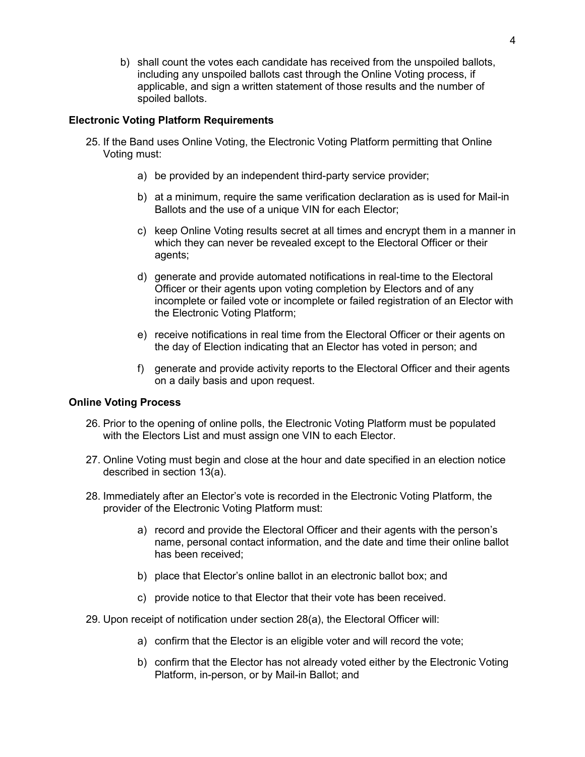b) shall count the votes each candidate has received from the unspoiled ballots, including any unspoiled ballots cast through the Online Voting process, if applicable, and sign a written statement of those results and the number of spoiled ballots.

#### **Electronic Voting Platform Requirements**

- 25. If the Band uses Online Voting, the Electronic Voting Platform permitting that Online Voting must:
	- a) be provided by an independent third-party service provider;
	- b) at a minimum, require the same verification declaration as is used for Mail-in Ballots and the use of a unique VIN for each Elector;
	- c) keep Online Voting results secret at all times and encrypt them in a manner in which they can never be revealed except to the Electoral Officer or their agents;
	- d) generate and provide automated notifications in real-time to the Electoral Officer or their agents upon voting completion by Electors and of any incomplete or failed vote or incomplete or failed registration of an Elector with the Electronic Voting Platform;
	- e) receive notifications in real time from the Electoral Officer or their agents on the day of Election indicating that an Elector has voted in person; and
	- f) generate and provide activity reports to the Electoral Officer and their agents on a daily basis and upon request.

#### **Online Voting Process**

- 26. Prior to the opening of online polls, the Electronic Voting Platform must be populated with the Electors List and must assign one VIN to each Elector.
- 27. Online Voting must begin and close at the hour and date specified in an election notice described in section 13(a).
- 28. Immediately after an Elector's vote is recorded in the Electronic Voting Platform, the provider of the Electronic Voting Platform must:
	- a) record and provide the Electoral Officer and their agents with the person's name, personal contact information, and the date and time their online ballot has been received;
	- b) place that Elector's online ballot in an electronic ballot box; and
	- c) provide notice to that Elector that their vote has been received.
- 29. Upon receipt of notification under section 28(a), the Electoral Officer will:
	- a) confirm that the Elector is an eligible voter and will record the vote;
	- b) confirm that the Elector has not already voted either by the Electronic Voting Platform, in-person, or by Mail-in Ballot; and